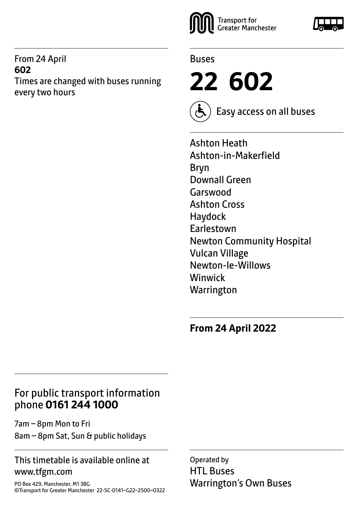### From 24 April **602**

Times are changed with buses running every two hours





**22 602**



Easy access on all buses

Ashton Heath Ashton-in-Makerfield Bryn Downall Green Garswood Ashton Cross Haydock Earlestown Newton Community Hospital Vulcan Village Newton-le-Willows Winwick **Warrington** 

**From 24 April 2022**

### For public transport information phone **0161 244 1000**

7am – 8pm Mon to Fri 8am – 8pm Sat, Sun & public holidays

### This timetable is available online at www.tfgm.com

PO Box 429, Manchester, M1 3BG ©Transport for Greater Manchester 22-SC-0141–G22–2500–0322 Operated by HTL Buses Warrington's Own Buses

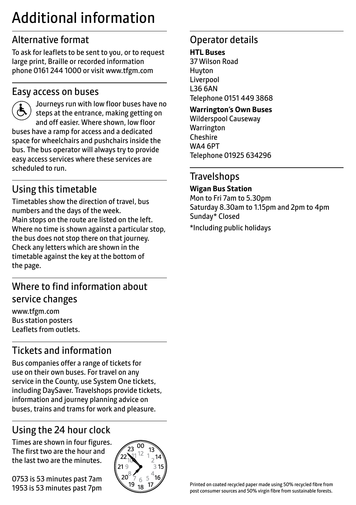# Additional information

# Alternative format

To ask for leaflets to be sent to you, or to request large print, Braille or recorded information phone 0161 244 1000 or visit www.tfgm.com

### Easy access on buses



 Journeys run with low floor buses have no steps at the entrance, making getting on and off easier. Where shown, low floor buses have a ramp for access and a dedicated space for wheelchairs and pushchairs inside the bus. The bus operator will always try to provide easy access services where these services are scheduled to run.

# Using this timetable

Timetables show the direction of travel, bus numbers and the days of the week. Main stops on the route are listed on the left. Where no time is shown against a particular stop, the bus does not stop there on that journey. Check any letters which are shown in the timetable against the key at the bottom of the page.

# Where to find information about service changes

www.tfgm.com Bus station posters Leaflets from outlets.

# Tickets and information

Bus companies offer a range of tickets for use on their own buses. For travel on any service in the County, use System One tickets, including DaySaver. Travelshops provide tickets, information and journey planning advice on buses, trains and trams for work and pleasure.

# Using the 24 hour clock

Times are shown in four figures. The first two are the hour and the last two are the minutes.

0753 is 53 minutes past 7am 1953 is 53 minutes past 7pm



# Operator details

**HTL Buses**

37 Wilson Road Huyton Liverpool L36 6AN Telephone 0151 449 3868

#### **Warrington's Own Buses**

Wilderspool Causeway **Warrington** Cheshire WA4 6PT Telephone 01925 634296

### **Travelshops**

#### **Wigan Bus Station**

Mon to Fri 7am to 5.30pm Saturday 8.30am to 1.15pm and 2pm to 4pm Sunday\* Closed

\*Including public holidays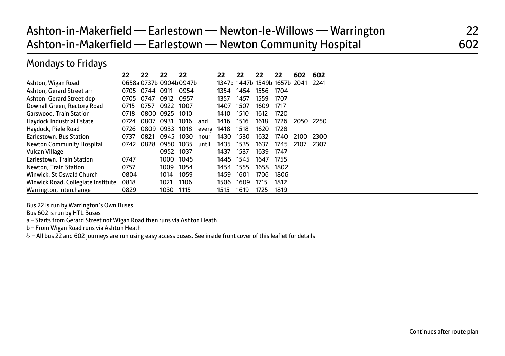# Ashton-in-Makerfield — Earlestown — Newton-le-Willows — Warrington 22 Ashton-in-Makerfield — Earlestown — Newton Community Hospital 602

### Mondays to Fridays

|                                    | 22   | 22                     | 22   | 22   |       | 22   | 22   | 22   | 22                           | 602  | 602  |
|------------------------------------|------|------------------------|------|------|-------|------|------|------|------------------------------|------|------|
| Ashton, Wigan Road                 |      | 0658a 0737b 0904b0947b |      |      |       |      |      |      | 1347b 1447b 1549b 1657b 2041 |      | 2241 |
| Ashton, Gerard Street arr          | 0705 | 0744                   | 0911 | 0954 |       | 1354 | 1454 | 1556 | 1704                         |      |      |
| Ashton, Gerard Street dep          | 0705 | 0747                   | 0912 | 0957 |       | 1357 | 1457 | 1559 | 1707                         |      |      |
| Downall Green, Rectory Road        | 0715 | 0757                   | 0922 | 1007 |       | 1407 | 1507 | 1609 | 1717                         |      |      |
| Garswood, Train Station            | 0718 | 0800                   | 0925 | 1010 |       | 1410 | 1510 | 1612 | 1720                         |      |      |
| <b>Haydock Industrial Estate</b>   | 0724 | 0807                   | 0931 | 1016 | and   | 1416 | 1516 | 1618 | 1726                         | 2050 | 2250 |
| Haydock, Piele Road                | 0726 | 0809                   | 0933 | 1018 | every | 1418 | 1518 | 1620 | 1728                         |      |      |
| Earlestown, Bus Station            | 0737 | 0821                   | 0945 | 1030 | hour  | 1430 | 1530 | 1632 | 1740                         | 2100 | 2300 |
| Newton Community Hospital          | 0742 | 0828                   | 0950 | 1035 | until | 1435 | 1535 | 1637 | 1745                         | 2107 | 2307 |
| Vulcan Village                     |      |                        | 0952 | 1037 |       | 1437 | 1537 | 1639 | 1747                         |      |      |
| Earlestown, Train Station          | 0747 |                        | 1000 | 1045 |       | 1445 | 1545 | 1647 | 1755                         |      |      |
| Newton, Train Station              | 0757 |                        | 1009 | 1054 |       | 1454 | 1555 | 1658 | 1802                         |      |      |
| Winwick, St Oswald Church          | 0804 |                        | 1014 | 1059 |       | 1459 | 1601 | 1706 | 1806                         |      |      |
| Winwick Road, Collegiate Institute | 0818 |                        | 1021 | 1106 |       | 1506 | 1609 | 1715 | 1812                         |      |      |
| Warrington, Interchange            | 0829 |                        | 1030 | 1115 |       | 1515 | 1619 | 1725 | 1819                         |      |      |

Bus 22 is run by Warrington's Own Buses

Bus 602 is run by HTL Buses

a – Starts from Gerard Street not Wigan Road then runs via Ashton Heath

b – From Wigan Road runs via Ashton Heath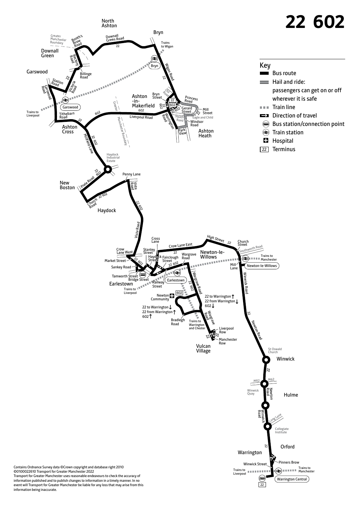

information published and to publish changes to information in a timely manner. In no event will Transport for Greater Manchester be liable for any loss that may arise from this information being inaccurate.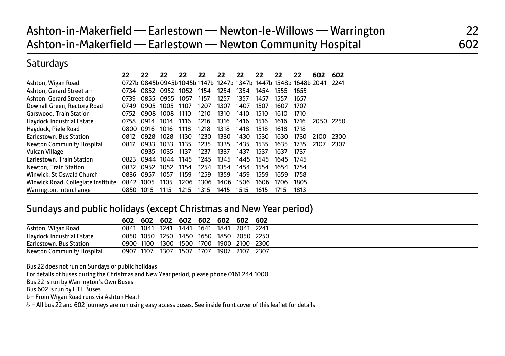|                                    | 22        | 22   | 22   | 22   |      | 22   | 22   | 22   | 22   | 22                                                               | 602  | 602       |
|------------------------------------|-----------|------|------|------|------|------|------|------|------|------------------------------------------------------------------|------|-----------|
| Ashton, Wigan Road                 |           |      |      |      |      |      |      |      |      | 0727b 0845b 0945b 1045b 1147b 1247b 1347b 1447b 1548b 1648b 2041 |      | 2241      |
| Ashton, Gerard Street arr          | 0734      | 0852 | 0952 | 1052 | 1154 | 1254 | 1354 | 1454 | 1555 | 1655                                                             |      |           |
| Ashton, Gerard Street dep          | 0739      | 0855 | 0955 | 1057 | 1157 | 1257 | 1357 | 1457 | 1557 | 1657                                                             |      |           |
| Downall Green, Rectory Road        | 0749      | 0905 | 1005 | 1107 | 1207 | 1307 | 1407 | 1507 | 1607 | 1707                                                             |      |           |
| Garswood, Train Station            | 0752      | 0908 | 1008 | 1110 | 1210 | 1310 | 1410 | 1510 | 1610 | 1710                                                             |      |           |
| <b>Haydock Industrial Estate</b>   | 0758      | 0914 | 1014 | 1116 | 1216 | 1316 | 1416 | 1516 | 1616 | 1716                                                             |      | 2050 2250 |
| Haydock, Piele Road                | 0800 0916 |      | 1016 | 1118 | 1218 | 1318 | 1418 | 1518 | 1618 | 1718                                                             |      |           |
| Earlestown, Bus Station            | 0812      | 0928 | 1028 | 1130 | 1230 | 1330 | 1430 | 1530 | 1630 | 1730                                                             | 2100 | 2300      |
| Newton Community Hospital          | 0817      | 0933 | 1033 | 1135 | 1235 | 1335 | 1435 | 1535 | 1635 | 1735                                                             | 2107 | 2307      |
| Vulcan Village                     |           | 0935 | 1035 | 1137 | 1237 | 1337 | 1437 | 1537 | 1637 | 1737                                                             |      |           |
| Earlestown, Train Station          | 0823      | 0944 | 1044 | 1145 | 1245 | 1345 | 1445 | 1545 | 1645 | 1745                                                             |      |           |
| Newton, Train Station              | 0832      | 0952 | 1052 | 1154 | 1254 | 1354 | 1454 | 1554 | 1654 | 1754                                                             |      |           |
| Winwick, St Oswald Church          | 0836      | 0957 | 1057 | 1159 | 1259 | 1359 | 1459 | 1559 | 1659 | 1758                                                             |      |           |
| Winwick Road, Collegiate Institute | 0842      | 1005 | 1105 | 1206 | 1306 | 1406 | 1506 | 1606 | 1706 | 1805                                                             |      |           |
| Warrington, Interchange            | 0850      | 1015 | 1115 | 1215 | 1315 | 1415 | 1515 | 1615 | 1715 | 1813                                                             |      |           |

### Sundays and public holidays (except Christmas and New Year period)

|                           | 602  | 602       | 602                 | 602  | 602  | 602            | 602       | -602           |  |
|---------------------------|------|-----------|---------------------|------|------|----------------|-----------|----------------|--|
| Ashton, Wigan Road        | 0841 | 1041      | 1241                | 1441 | 1641 | 1841           | 2041 2241 |                |  |
| Haydock Industrial Estate |      |           | 0850 1050 1250 1450 |      | 1650 | 1850 2050 2250 |           |                |  |
| Earlestown, Bus Station   |      | 0900 1100 | 1300                | 1500 | 1700 |                |           | 1900 2100 2300 |  |
| Newton Community Hospital | 0907 | 1107      | 1307                | 1507 | 1707 | 1907           | 2107      | 2307           |  |

Bus 22 does not run on Sundays or public holidays

For details of buses during the Christmas and New Year period, please phone 0161 244 1000

Bus 22 is run by Warrington's Own Buses

Bus 602 is run by HTL Buses

b – From Wigan Road runs via Ashton Heath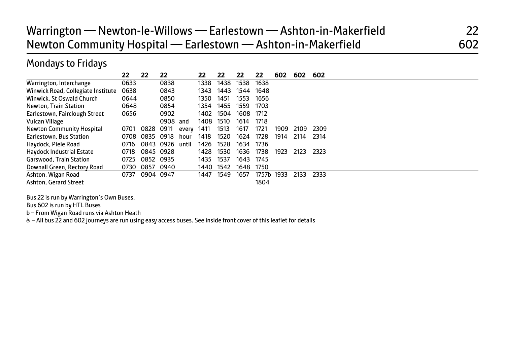# Warrington — Newton-le-Willows — Earlestown — Ashton-in-Makerfield 22 Newton Community Hospital — Earlestown — Ashton-in-Makerfield 602

### Mondays to Fridays

|                                    | 22   | 22        | 22        |       | 22   | 22   | 22   | 22    | 602  | 602  | 602  |
|------------------------------------|------|-----------|-----------|-------|------|------|------|-------|------|------|------|
| Warrington, Interchange            | 0633 |           | 0838      |       | 1338 | 1438 | 1538 | 1638  |      |      |      |
| Winwick Road, Collegiate Institute | 0638 |           | 0843      |       | 1343 | 1443 | 1544 | 1648  |      |      |      |
| Winwick, St Oswald Church          | 0644 |           | 0850      |       | 1350 | 1451 | 1553 | 1656  |      |      |      |
| Newton, Train Station              | 0648 |           | 0854      |       | 1354 | 1455 | 1559 | 1703  |      |      |      |
| Earlestown, Fairclough Street      | 0656 |           | 0902      |       | 1402 | 1504 | 1608 | 1712  |      |      |      |
| Vulcan Village                     |      |           | 0908      | and   | 1408 | 1510 | 1614 | 1718  |      |      |      |
| Newton Community Hospital          | 0701 | 0828      | 0911      | every | 1411 | 1513 | 1617 | 1721  | 1909 | 2109 | 2309 |
| Earlestown, Bus Station            | 0708 | 0835      | 0918      | hour  | 1418 | 1520 | 1624 | 1728  | 1914 | 2114 | 2314 |
| Haydock, Piele Road                | 0716 |           | 0843 0926 | until | 1426 | 1528 | 1634 | 1736  |      |      |      |
| Haydock Industrial Estate          | 0718 | 0845 0928 |           |       | 1428 | 1530 | 1636 | 1738  | 1923 | 2123 | 2323 |
| <b>Garswood, Train Station</b>     | 0725 | 0852 0935 |           |       | 1435 | 1537 | 1643 | 1745  |      |      |      |
| Downall Green, Rectory Road        | 0730 | 0857      | 0940      |       | 1440 | 1542 | 1648 | 1750  |      |      |      |
| Ashton, Wigan Road                 | 0737 | 0904 0947 |           |       | 1447 | 1549 | 1657 | 1757b | 1933 | 2133 | 2333 |
| Ashton, Gerard Street              |      |           |           |       |      |      |      | 1804  |      |      |      |

Bus 22 is run by Warrington's Own Buses.

Bus 602 is run by HTL Buses

b – From Wigan Road runs via Ashton Heath